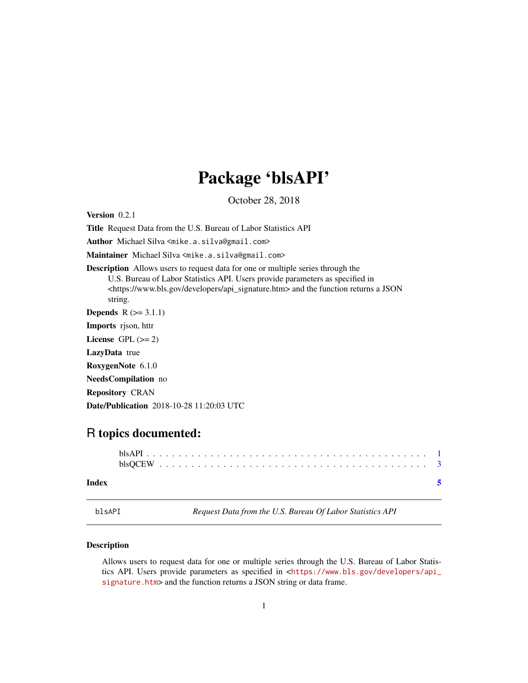# Package 'blsAPI'

October 28, 2018

<span id="page-0-0"></span>Version 0.2.1

Title Request Data from the U.S. Bureau of Labor Statistics API

Author Michael Silva <mike.a.silva@gmail.com>

Maintainer Michael Silva <mike.a.silva@gmail.com>

Description Allows users to request data for one or multiple series through the U.S. Bureau of Labor Statistics API. Users provide parameters as specified in <https://www.bls.gov/developers/api\_signature.htm> and the function returns a JSON string. **Depends**  $R$  ( $>= 3.1.1$ ) Imports rjson, httr License GPL  $(>= 2)$ LazyData true

RoxygenNote 6.1.0

NeedsCompilation no Repository CRAN

Date/Publication 2018-10-28 11:20:03 UTC

## R topics documented:

| Index |  |
|-------|--|

blsAPI *Request Data from the U.S. Bureau Of Labor Statistics API*

#### **Description**

Allows users to request data for one or multiple series through the U.S. Bureau of Labor Statistics API. Users provide parameters as specified in <[https://www.bls.gov/developers/api\\_](https://www.bls.gov/developers/api_signature.htm) [signature.htm](https://www.bls.gov/developers/api_signature.htm)> and the function returns a JSON string or data frame.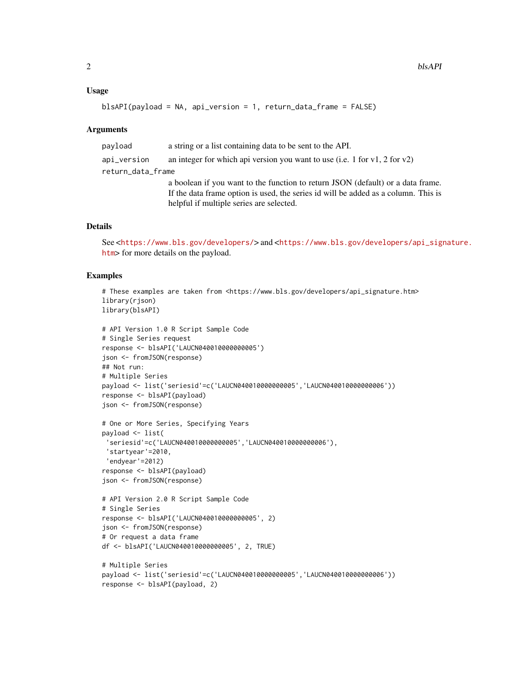#### Usage

```
blsAPI(payload = NA, api_version = 1, return_data_frame = FALSE)
```
#### Arguments

payload a string or a list containing data to be sent to the API. api\_version an integer for which api version you want to use (i.e. 1 for v1, 2 for v2) return\_data\_frame a boolean if you want to the function to return JSON (default) or a data frame. If the data frame option is used, the series id will be added as a column. This is helpful if multiple series are selected.

### **Details**

```
See <https://www.bls.gov/developers/> and <https://www.bls.gov/developers/api_signature.
htm> for more details on the payload.
```
#### Examples

```
# These examples are taken from <https://www.bls.gov/developers/api_signature.htm>
library(rjson)
library(blsAPI)
# API Version 1.0 R Script Sample Code
# Single Series request
response <- blsAPI('LAUCN040010000000005')
json <- fromJSON(response)
## Not run:
# Multiple Series
payload <- list('seriesid'=c('LAUCN040010000000005','LAUCN040010000000006'))
response <- blsAPI(payload)
json <- fromJSON(response)
# One or More Series, Specifying Years
payload <- list(
 'seriesid'=c('LAUCN040010000000005','LAUCN040010000000006'),
 'startyear'=2010,
 'endyear'=2012)
response <- blsAPI(payload)
json <- fromJSON(response)
# API Version 2.0 R Script Sample Code
# Single Series
response <- blsAPI('LAUCN040010000000005', 2)
json <- fromJSON(response)
# Or request a data frame
df <- blsAPI('LAUCN040010000000005', 2, TRUE)
# Multiple Series
payload <- list('seriesid'=c('LAUCN040010000000005','LAUCN040010000000006'))
response <- blsAPI(payload, 2)
```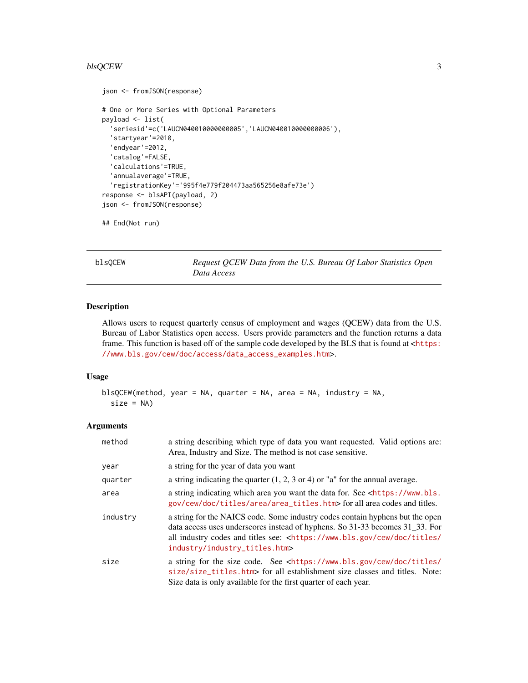#### <span id="page-2-0"></span>blsQCEW 3

```
json <- fromJSON(response)
# One or More Series with Optional Parameters
payload <- list(
  'seriesid'=c('LAUCN040010000000005','LAUCN040010000000006'),
  'startyear'=2010,
  'endyear'=2012,
  'catalog'=FALSE,
  'calculations'=TRUE,
  'annualaverage'=TRUE,
  'registrationKey'='995f4e779f204473aa565256e8afe73e')
response <- blsAPI(payload, 2)
json <- fromJSON(response)
```

```
## End(Not run)
```
blsQCEW *Request QCEW Data from the U.S. Bureau Of Labor Statistics Open Data Access*

#### Description

Allows users to request quarterly census of employment and wages (QCEW) data from the U.S. Bureau of Labor Statistics open access. Users provide parameters and the function returns a data frame. This function is based off of the sample code developed by the BLS that is found at  $<$ [https:](https://www.bls.gov/cew/doc/access/data_access_examples.htm) [//www.bls.gov/cew/doc/access/data\\_access\\_examples.htm](https://www.bls.gov/cew/doc/access/data_access_examples.htm)>.

#### Usage

```
blsQCEW(method, year = NA, quarter = NA, area = NA, industry = NA,
  size = NA
```
#### Arguments

| method   | a string describing which type of data you want requested. Valid options are:<br>Area, Industry and Size. The method is not case sensitive.                                                                                                                                                         |
|----------|-----------------------------------------------------------------------------------------------------------------------------------------------------------------------------------------------------------------------------------------------------------------------------------------------------|
| year     | a string for the year of data you want                                                                                                                                                                                                                                                              |
| quarter  | a string indicating the quarter $(1, 2, 3 \text{ or } 4)$ or "a" for the annual average.                                                                                                                                                                                                            |
| area     | a string indicating which area you want the data for. See <https: www.bls.<br="">gov/cew/doc/titles/area/area_titles.htm&gt; for all area codes and titles.</https:>                                                                                                                                |
| industry | a string for the NAICS code. Some industry codes contain hyphens but the open<br>data access uses underscores instead of hyphens. So 31-33 becomes 31_33. For<br>all industry codes and titles see: <https: <br="" cew="" doc="" titles="" www.bls.gov="">industry/industry_titles.htm&gt;</https:> |
| size     | a string for the size code. See <https: <br="" cew="" doc="" titles="" www.bls.gov="">size/size_titles.htm&gt; for all establishment size classes and titles. Note:<br/>Size data is only available for the first quarter of each year.</https:>                                                    |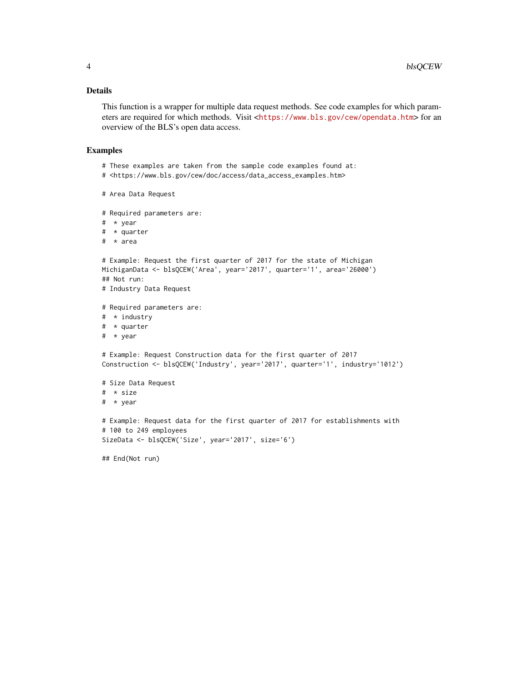#### Details

This function is a wrapper for multiple data request methods. See code examples for which parameters are required for which methods. Visit <<https://www.bls.gov/cew/opendata.htm>> for an overview of the BLS's open data access.

#### Examples

- # These examples are taken from the sample code examples found at:
- # <https://www.bls.gov/cew/doc/access/data\_access\_examples.htm>

```
# Area Data Request
```

```
# Required parameters are:
```
- # \* year
- # \* quarter
- # \* area

```
# Example: Request the first quarter of 2017 for the state of Michigan
MichiganData <- blsQCEW('Area', year='2017', quarter='1', area='26000')
## Not run:
```
- # Industry Data Request
- # Required parameters are:
- # \* industry
- # \* quarter
- # \* year

# Example: Request Construction data for the first quarter of 2017 Construction <- blsQCEW('Industry', year='2017', quarter='1', industry='1012')

```
# Size Data Request
# * size
# * year
# Example: Request data for the first quarter of 2017 for establishments with
# 100 to 249 employees
```

```
SizeData <- blsQCEW('Size', year='2017', size='6')
```
## End(Not run)